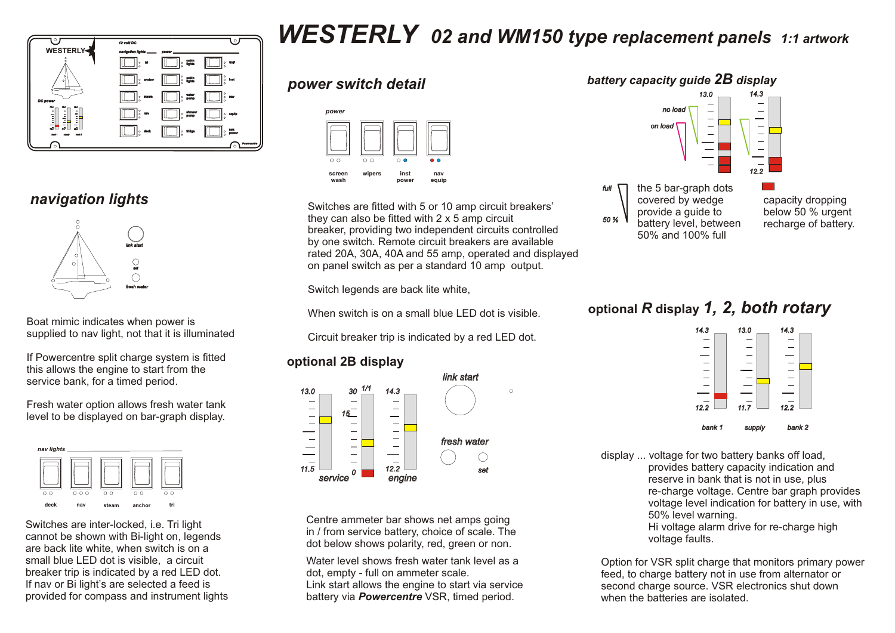

#### *navigation lights*



Boat mimic indicates when power is supplied to nav light, not that it is illuminated

If Powercentre split charge system is fitted this allows the engine to start from the service bank, for a timed period.

Fresh water option allows fresh water tank level to be displayed on bar-graph display.



Switches are inter-locked, i.e. Tri light cannot be shown with Bi-light on, legends are back lite white, when switch is on a small blue LED dot is visible, a circuit breaker trip is indicated by a red LED dot. If nav or Bi light's are selected a feed is provided for compass and instrument lights

# *WESTERLY 02 and WM150 type replacement panels 1:1 artwork*

#### *power switch detail*



Switches are fitted with 5 or 10 amp circuit breakers' they can also be fitted with 2 x 5 amp circuit breaker, providing two independent circuits controlled by one switch. Remote circuit breakers are available rated 20A, 30A, 40A and 55 amp, operated and displayed on panel switch as per a standard 10 amp output.

Switch legends are back lite white,

When switch is on a small blue LED dot is visible.

Circuit breaker trip is indicated by a red LED dot.

#### **optional 2B display**



Centre ammeter bar shows net amps going in / from service battery, choice of scale. The dot below shows polarity, red, green or non.

Water level shows fresh water tank level as a dot, empty - full on ammeter scale. Link start allows the engine to start via service battery via *Powercentre* VSR, timed period.



### **optional** *R* **display** *1, 2, both rotary*



display ... voltage for two battery banks off load, provides battery capacity indication and reserve in bank that is not in use, plus re-charge voltage. Centre bar graph provides voltage level indication for battery in use, with 50% level warning. Hi voltage alarm drive for re-charge high voltage faults.

Option for VSR split charge that monitors primary power feed, to charge battery not in use from alternator or second charge source. VSR electronics shut down when the batteries are isolated.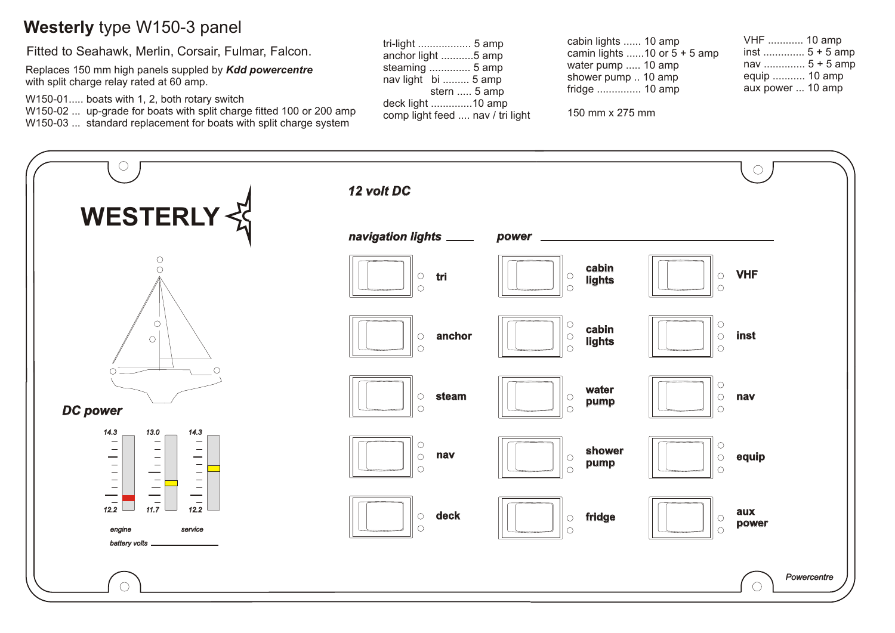# **Westerly** type W150-3 panel

Fitted to Seahawk, Merlin, Corsair, Fulmar, Falcon.

Replaces 150 mm high panels suppled by *Kdd powercentre* with split charge relay rated at 60 amp.

W150-01..... boats with 1, 2, both rotary switch

W150-02 ... up-grade for boats with split charge fitted 100 or 200 amp W150-03 ... standard replacement for boats with split charge system

| tri-light  5 amp                 |
|----------------------------------|
| anchor light 5 amp               |
| steaming  5 amp                  |
| nav light bi  5 amp              |
| stern  5 amp                     |
| deck light 10 amp                |
| comp light feed  nav / tri light |

cabin lights ...... 10 amp camin lights ......10 or  $5 + 5$  amp water pump ..... 10 amp shower pump .. 10 amp fridge ............... 10 amp

150 mm x 275 mm

| VHF  10 amp       |
|-------------------|
| inst  5 + 5 amp   |
| nav  5 + 5 amp    |
| equip  10 amp     |
| aux power  10 amp |

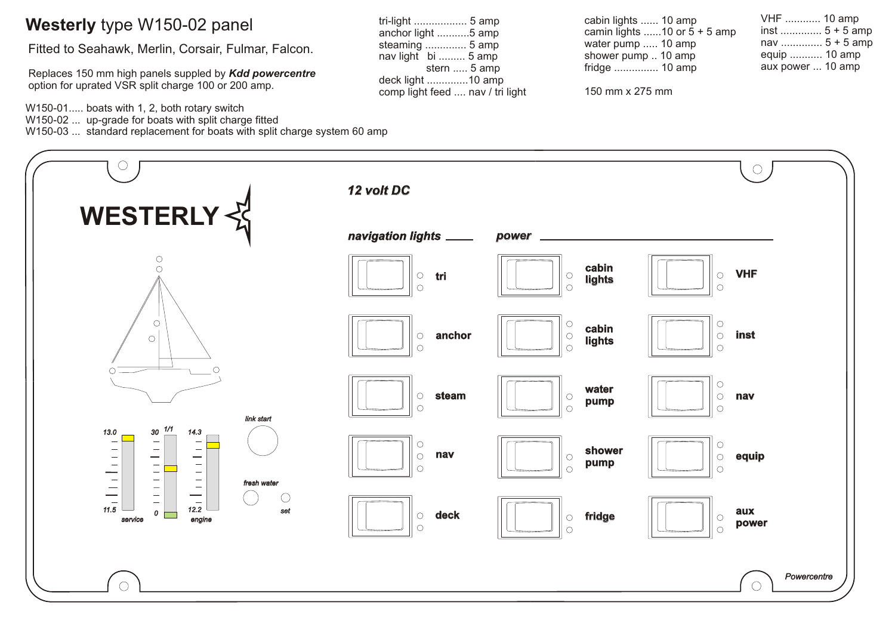#### **Westerly** type W150-02 panel

Fitted to Seahawk, Merlin, Corsair, Fulmar, Falcon.

Replaces 150 mm high panels suppled by *Kdd powercentre* option for uprated VSR split charge 100 or 200 amp.

W150-01..... boats with 1, 2, both rotary switch W150-02 ... up-grade for boats with split charge fitted W150-03 ... standard replacement for boats with split charge system 60 amp

150 mm x 275 mm

| nav  5 + 5 amp    |  |
|-------------------|--|
| equip  10 amp     |  |
| aux power  10 amp |  |
|                   |  |

VHF ............ 10 amp inst .............. 5 + 5 amp